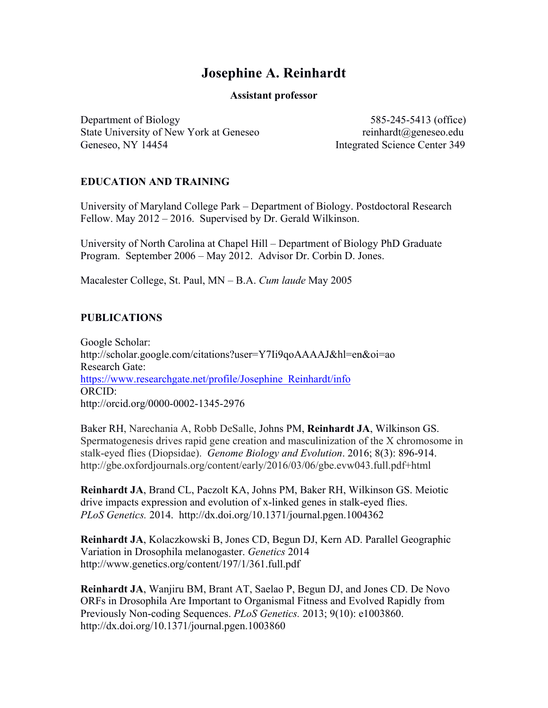# **Josephine A. Reinhardt**

#### **Assistant professor**

Department of Biology 585-245-5413 (office) State University of New York at Geneseo reinhardt@geneseo.edu Geneseo, NY 14454 Integrated Science Center 349

## **EDUCATION AND TRAINING**

University of Maryland College Park – Department of Biology. Postdoctoral Research Fellow. May 2012 – 2016. Supervised by Dr. Gerald Wilkinson.

University of North Carolina at Chapel Hill – Department of Biology PhD Graduate Program. September 2006 – May 2012. Advisor Dr. Corbin D. Jones.

Macalester College, St. Paul, MN – B.A. *Cum laude* May 2005

## **PUBLICATIONS**

Google Scholar: http://scholar.google.com/citations?user=Y7Ii9qoAAAAJ&hl=en&oi=ao Research Gate: https://www.researchgate.net/profile/Josephine\_Reinhardt/info ORCID: http://orcid.org/0000-0002-1345-2976

Baker RH, Narechania A, Robb DeSalle, Johns PM, **Reinhardt JA**, Wilkinson GS. Spermatogenesis drives rapid gene creation and masculinization of the X chromosome in stalk-eyed flies (Diopsidae). *Genome Biology and Evolution*. 2016; 8(3): 896-914. http://gbe.oxfordjournals.org/content/early/2016/03/06/gbe.evw043.full.pdf+html

**Reinhardt JA**, Brand CL, Paczolt KA, Johns PM, Baker RH, Wilkinson GS. Meiotic drive impacts expression and evolution of x-linked genes in stalk-eyed flies. *PLoS Genetics.* 2014. http://dx.doi.org/10.1371/journal.pgen.1004362

**Reinhardt JA**, Kolaczkowski B, Jones CD, Begun DJ, Kern AD. Parallel Geographic Variation in Drosophila melanogaster. *Genetics* 2014 http://www.genetics.org/content/197/1/361.full.pdf

**Reinhardt JA**, Wanjiru BM, Brant AT, Saelao P, Begun DJ, and Jones CD. De Novo ORFs in Drosophila Are Important to Organismal Fitness and Evolved Rapidly from Previously Non-coding Sequences. *PLoS Genetics.* 2013; 9(10): e1003860. http://dx.doi.org/10.1371/journal.pgen.1003860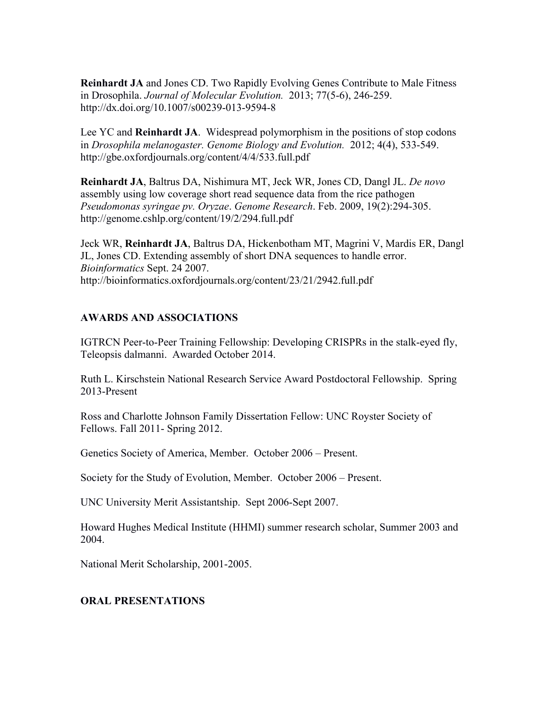**Reinhardt JA** and Jones CD. Two Rapidly Evolving Genes Contribute to Male Fitness in Drosophila. *Journal of Molecular Evolution.* 2013; 77(5-6), 246-259. http://dx.doi.org/10.1007/s00239-013-9594-8

Lee YC and **Reinhardt JA**. Widespread polymorphism in the positions of stop codons in *Drosophila melanogaster. Genome Biology and Evolution.* 2012; 4(4), 533-549. http://gbe.oxfordjournals.org/content/4/4/533.full.pdf

**Reinhardt JA**, Baltrus DA, Nishimura MT, Jeck WR, Jones CD, Dangl JL. *De novo* assembly using low coverage short read sequence data from the rice pathogen *Pseudomonas syringae pv. Oryzae*. *Genome Research*. Feb. 2009, 19(2):294-305. http://genome.cshlp.org/content/19/2/294.full.pdf

Jeck WR, **Reinhardt JA**, Baltrus DA, Hickenbotham MT, Magrini V, Mardis ER, Dangl JL, Jones CD. Extending assembly of short DNA sequences to handle error. *Bioinformatics* Sept. 24 2007. http://bioinformatics.oxfordjournals.org/content/23/21/2942.full.pdf

## **AWARDS AND ASSOCIATIONS**

IGTRCN Peer-to-Peer Training Fellowship: Developing CRISPRs in the stalk-eyed fly, Teleopsis dalmanni. Awarded October 2014.

Ruth L. Kirschstein National Research Service Award Postdoctoral Fellowship. Spring 2013-Present

Ross and Charlotte Johnson Family Dissertation Fellow: UNC Royster Society of Fellows. Fall 2011- Spring 2012.

Genetics Society of America, Member. October 2006 – Present.

Society for the Study of Evolution, Member. October 2006 – Present.

UNC University Merit Assistantship. Sept 2006-Sept 2007.

Howard Hughes Medical Institute (HHMI) summer research scholar, Summer 2003 and 2004.

National Merit Scholarship, 2001-2005.

# **ORAL PRESENTATIONS**